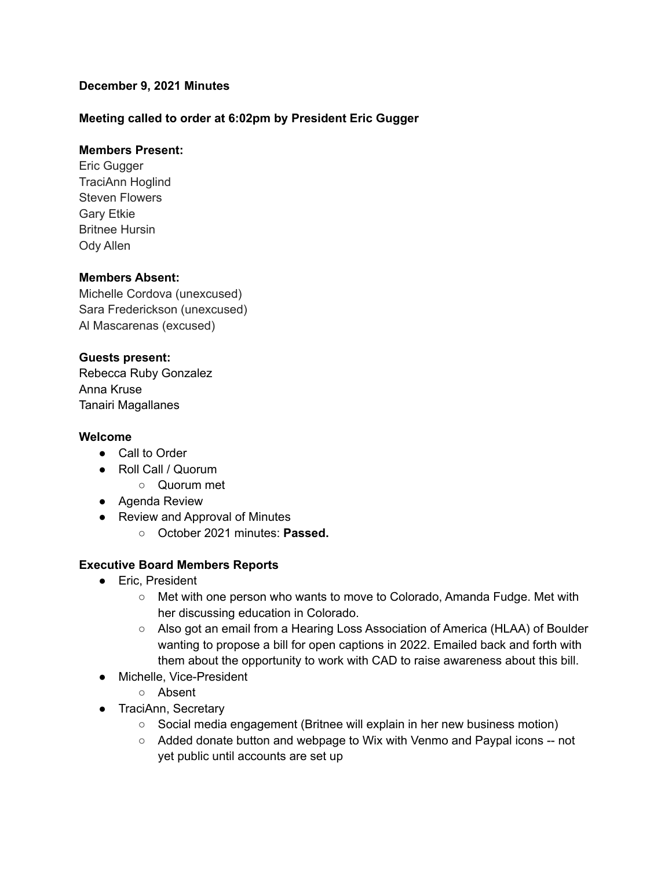## **December 9, 2021 Minutes**

## **Meeting called to order at 6:02pm by President Eric Gugger**

### **Members Present:**

Eric Gugger TraciAnn Hoglind Steven Flowers Gary Etkie Britnee Hursin Ody Allen

### **Members Absent:**

Michelle Cordova (unexcused) Sara Frederickson (unexcused) Al Mascarenas (excused)

## **Guests present:**

Rebecca Ruby Gonzalez Anna Kruse Tanairi Magallanes

#### **Welcome**

- Call to Order
- Roll Call / Quorum
	- Quorum met
- Agenda Review
- Review and Approval of Minutes
	- October 2021 minutes: **Passed.**

## **Executive Board Members Reports**

- Eric, President
	- Met with one person who wants to move to Colorado, Amanda Fudge. Met with her discussing education in Colorado.
	- Also got an email from a Hearing Loss Association of America (HLAA) of Boulder wanting to propose a bill for open captions in 2022. Emailed back and forth with them about the opportunity to work with CAD to raise awareness about this bill.
- Michelle, Vice-President
	- Absent
- TraciAnn, Secretary
	- Social media engagement (Britnee will explain in her new business motion)
	- Added donate button and webpage to Wix with Venmo and Paypal icons -- not yet public until accounts are set up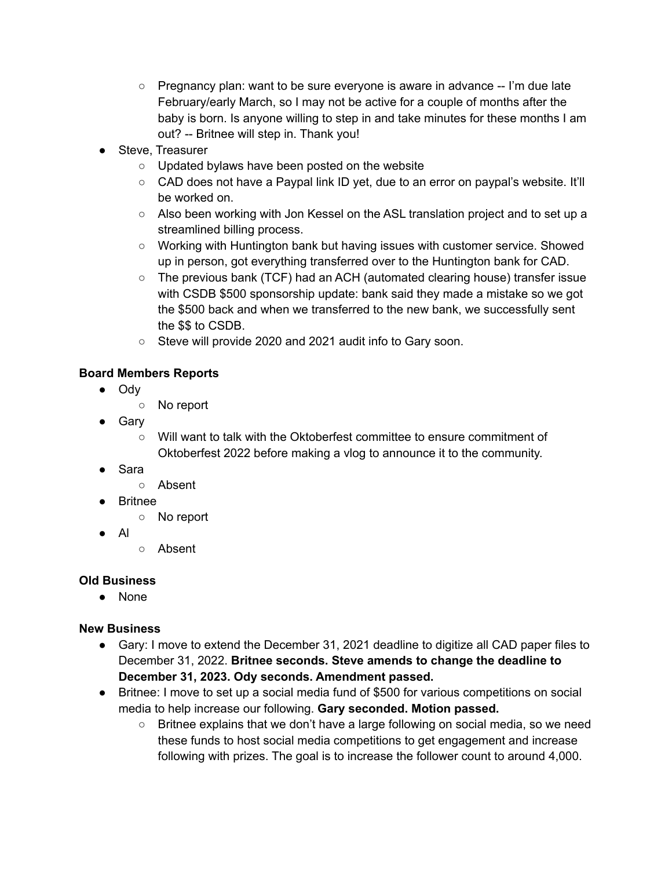- $\circ$  Pregnancy plan: want to be sure everyone is aware in advance  $-$  I'm due late February/early March, so I may not be active for a couple of months after the baby is born. Is anyone willing to step in and take minutes for these months I am out? -- Britnee will step in. Thank you!
- Steve, Treasurer
	- Updated bylaws have been posted on the website
	- CAD does not have a Paypal link ID yet, due to an error on paypal's website. It'll be worked on.
	- Also been working with Jon Kessel on the ASL translation project and to set up a streamlined billing process.
	- Working with Huntington bank but having issues with customer service. Showed up in person, got everything transferred over to the Huntington bank for CAD.
	- The previous bank (TCF) had an ACH (automated clearing house) transfer issue with CSDB \$500 sponsorship update: bank said they made a mistake so we got the \$500 back and when we transferred to the new bank, we successfully sent the \$\$ to CSDB.
	- Steve will provide 2020 and 2021 audit info to Gary soon.

# **Board Members Reports**

- Ody
	- No report
- Gary
	- Will want to talk with the Oktoberfest committee to ensure commitment of Oktoberfest 2022 before making a vlog to announce it to the community.
- Sara
	- Absent
- Britnee
	- No report
- Al
- Absent

# **Old Business**

● None

# **New Business**

- Gary: I move to extend the December 31, 2021 deadline to digitize all CAD paper files to December 31, 2022. **Britnee seconds. Steve amends to change the deadline to December 31, 2023. Ody seconds. Amendment passed.**
- Britnee: I move to set up a social media fund of \$500 for various competitions on social media to help increase our following. **Gary seconded. Motion passed.**
	- Britnee explains that we don't have a large following on social media, so we need these funds to host social media competitions to get engagement and increase following with prizes. The goal is to increase the follower count to around 4,000.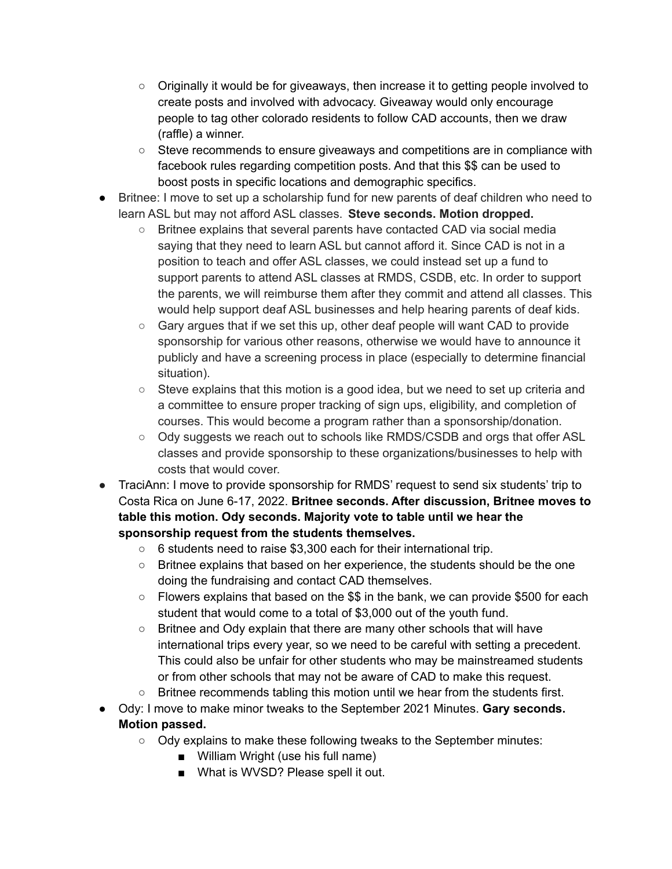- Originally it would be for giveaways, then increase it to getting people involved to create posts and involved with advocacy. Giveaway would only encourage people to tag other colorado residents to follow CAD accounts, then we draw (raffle) a winner.
- Steve recommends to ensure giveaways and competitions are in compliance with facebook rules regarding competition posts. And that this \$\$ can be used to boost posts in specific locations and demographic specifics.
- Britnee: I move to set up a scholarship fund for new parents of deaf children who need to learn ASL but may not afford ASL classes. **Steve seconds. Motion dropped.**
	- Britnee explains that several parents have contacted CAD via social media saying that they need to learn ASL but cannot afford it. Since CAD is not in a position to teach and offer ASL classes, we could instead set up a fund to support parents to attend ASL classes at RMDS, CSDB, etc. In order to support the parents, we will reimburse them after they commit and attend all classes. This would help support deaf ASL businesses and help hearing parents of deaf kids.
	- Gary argues that if we set this up, other deaf people will want CAD to provide sponsorship for various other reasons, otherwise we would have to announce it publicly and have a screening process in place (especially to determine financial situation).
	- Steve explains that this motion is a good idea, but we need to set up criteria and a committee to ensure proper tracking of sign ups, eligibility, and completion of courses. This would become a program rather than a sponsorship/donation.
	- Ody suggests we reach out to schools like RMDS/CSDB and orgs that offer ASL classes and provide sponsorship to these organizations/businesses to help with costs that would cover.
- TraciAnn: I move to provide sponsorship for RMDS' request to send six students' trip to Costa Rica on June 6-17, 2022. **Britnee seconds. After discussion, Britnee moves to table this motion. Ody seconds. Majority vote to table until we hear the sponsorship request from the students themselves.**
	- 6 students need to raise \$3,300 each for their international trip.
	- Britnee explains that based on her experience, the students should be the one doing the fundraising and contact CAD themselves.
	- Flowers explains that based on the \$\$ in the bank, we can provide \$500 for each student that would come to a total of \$3,000 out of the youth fund.
	- Britnee and Ody explain that there are many other schools that will have international trips every year, so we need to be careful with setting a precedent. This could also be unfair for other students who may be mainstreamed students or from other schools that may not be aware of CAD to make this request.
	- $\circ$  Britnee recommends tabling this motion until we hear from the students first.
- Ody: I move to make minor tweaks to the September 2021 Minutes. **Gary seconds. Motion passed.**
	- Ody explains to make these following tweaks to the September minutes:
		- William Wright (use his full name)
		- What is WVSD? Please spell it out.